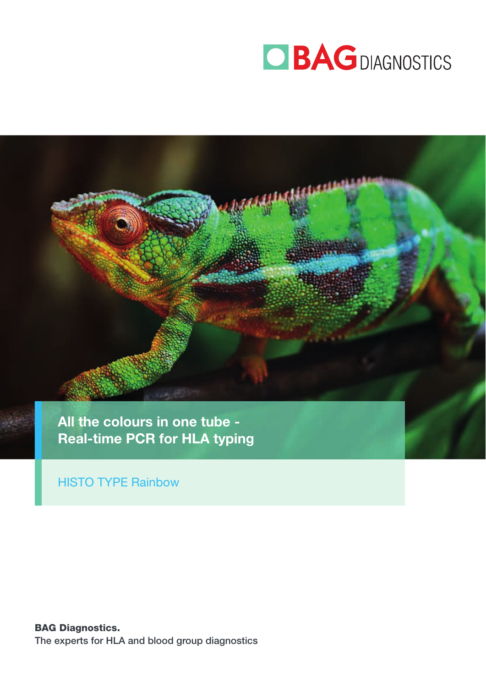



HISTO TYPE Rainbow

BAG Diagnostics. The experts for HLA and blood group diagnostics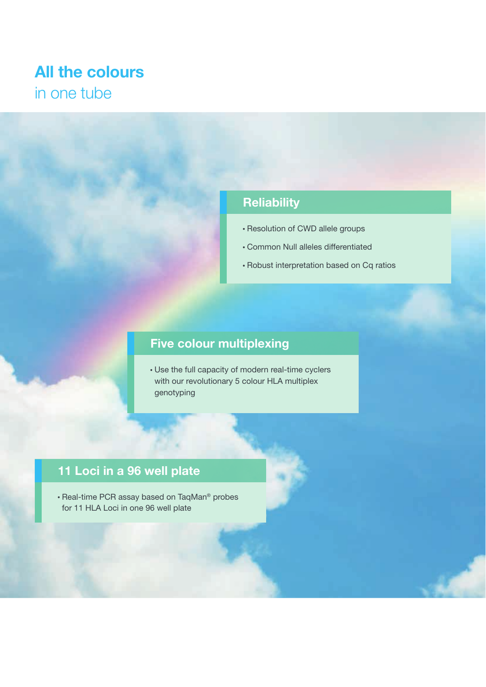## All the colours in one tube

## **Reliability**

- Resolution of CWD allele groups
- Common Null alleles differentiated
- Robust interpretation based on Cq ratios

## Five colour multiplexing

 Use the full capacity of modern real-time cyclers with our revolutionary 5 colour HLA multiplex genotyping

## 11 Loci in a 96 well plate

• Real-time PCR assay based on TaqMan® probes for 11 HLA Loci in one 96 well plate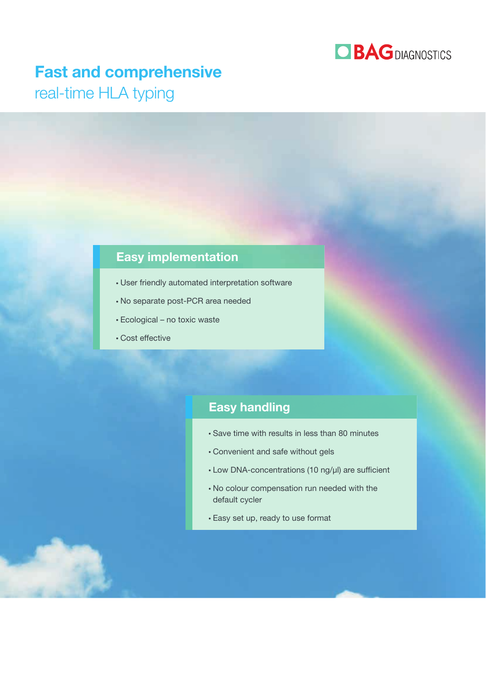

## Fast and comprehensive

real-time HLA typing

### Easy implementation

- User friendly automated interpretation software
- No separate post-PCR area needed
- Ecological no toxic waste
- Cost effective

### Easy handling

- Save time with results in less than 80 minutes
- Convenient and safe without gels
- $\cdot$  Low DNA-concentrations (10 ng/ $\mu$ I) are sufficient
- No colour compensation run needed with the default cycler
- Easy set up, ready to use format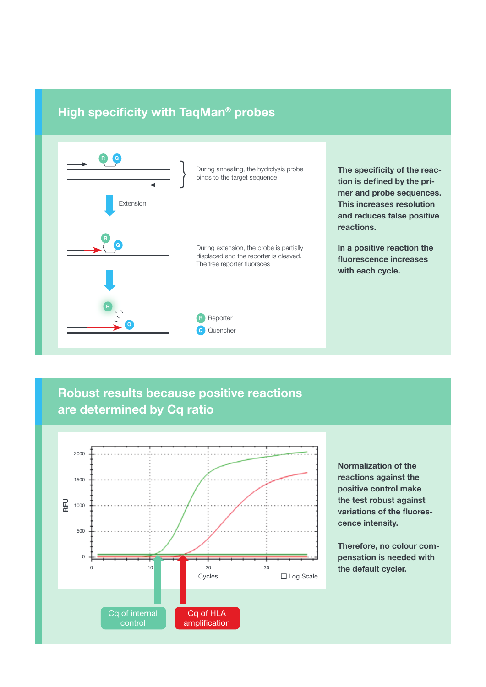### High specificity with TaqMan<sup>®</sup> probes



### Robust results because positive reactions are determined by Cq ratio



Normalization of the reactions against the positive control make the test robust against variations of the fluorescence intensity.

Therefore, no colour compensation is needed with the default cycler.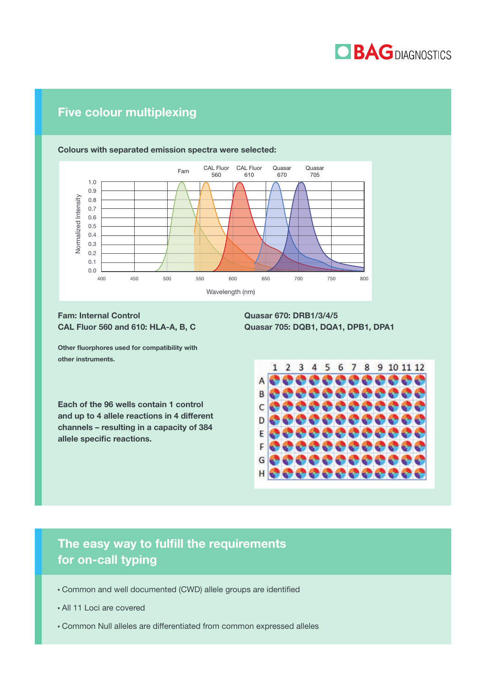

### Five colour multiplexing



### Colours with separated emission spectra were selected:

#### Fam: Internal Control CAL Fluor 560 and 610: HLA-A, B, C

Other fluorphores used for compatibility with other instruments.

Each of the 96 wells contain 1 control and up to 4 allele reactions in 4 different channels – resulting in a capacity of 384 allele specific reactions.

Quasar 670: DRB1/3/4/5 Quasar 705: DQB1, DQA1, DPB1, DPA1



### The easy way to fulfill the requirements for on-call typing

- Common and well documented (CWD) allele groups are identified
- All 11 Loci are covered
- Common Null alleles are differentiated from common expressed alleles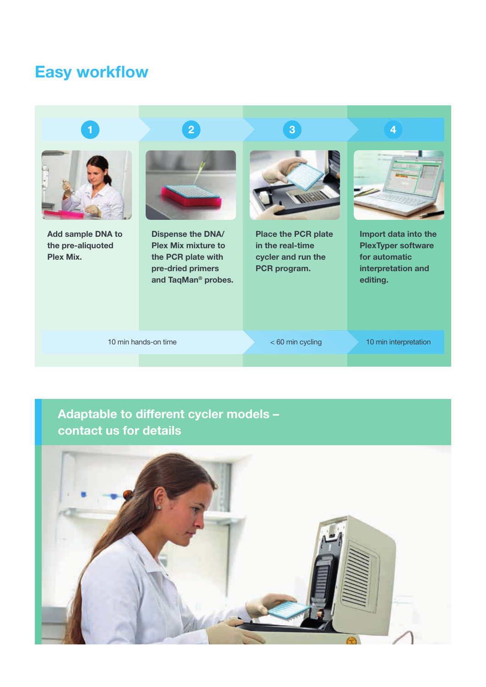## **Easy workflow**



Add sample DNA to the pre-aliquoted Plex Mix.

# $\begin{array}{|c|c|c|c|c|c|}\hline \textbf{1} & \textbf{2} & \textbf{3} & \textbf{4} \ \hline \end{array}$



Dispense the DNA/ Plex Mix mixture to the PCR plate with pre-dried primers and TaqMan® probes.



Place the PCR plate in the real-time cycler and run the PCR program.



Import data into the PlexTyper software for automatic interpretation and editing.

10 min hands-on time **10** min interpretation and the set of the set of the set of the set of the set of the set of the set of the set of the set of the set of the set of the set of the set of the set of the set of the set

## Adaptable to different cycler models – contact us for details

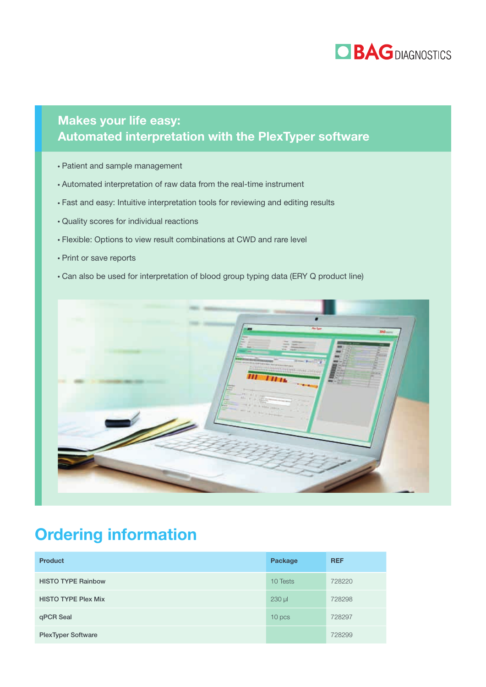

### Makes your life easy: Automated interpretation with the PlexTyper software

- Patient and sample management
- Automated interpretation of raw data from the real-time instrument
- Fast and easy: Intuitive interpretation tools for reviewing and editing results
- Quality scores for individual reactions
- Flexible: Options to view result combinations at CWD and rare level
- Print or save reports
- Can also be used for interpretation of blood group typing data (ERY Q product line)



## Ordering information

| <b>Product</b>             | Package     | <b>REF</b> |
|----------------------------|-------------|------------|
| <b>HISTO TYPE Rainbow</b>  | 10 Tests    | 728220     |
| <b>HISTO TYPE Plex Mix</b> | $230$ $\mu$ | 728298     |
| qPCR Seal                  | 10 pcs      | 728297     |
| <b>PlexTyper Software</b>  |             | 728299     |